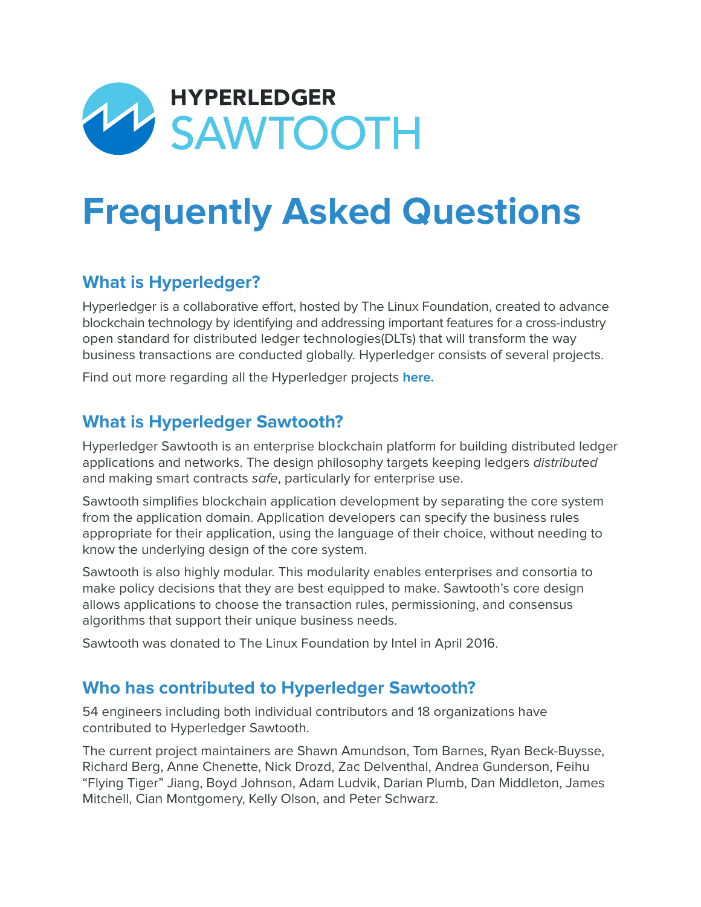

# **Frequently Asked Questions**

# **What is Hyperledger?**

Hyperledger is a collaborative effort, hosted by The Linux Foundation, created to advance blockchain technology by identifying and addressing important features for a cross-industry open standard for distributed ledger technologies(DLTs) that will transform the way business transactions are conducted globally. Hyperledger consists of several projects.

Find out more regarding all the Hyperledger projects **[here](https://www.hyperledger.org/projects).**

## **What is Hyperledger Sawtooth?**

Hyperledger Sawtooth is an enterprise blockchain platform for building distributed ledger applications and networks. The design philosophy targets keeping ledgers distributed and making smart contracts safe, particularly for enterprise use.

Sawtooth simplifies blockchain application development by separating the core system from the application domain. Application developers can specify the business rules appropriate for their application, using the language of their choice, without needing to know the underlying design of the core system.

Sawtooth is also highly modular. This modularity enables enterprises and consortia to make policy decisions that they are best equipped to make. Sawtooth's core design allows applications to choose the transaction rules, permissioning, and consensus algorithms that support their unique business needs.

Sawtooth was donated to The Linux Foundation by Intel in April 2016.

## **Who has contributed to Hyperledger Sawtooth?**

54 engineers including both individual contributors and 18 organizations have contributed to Hyperledger Sawtooth.

The current project maintainers are Shawn Amundson, Tom Barnes, Ryan Beck-Buysse, Richard Berg, Anne Chenette, Nick Drozd, Zac Delventhal, Andrea Gunderson, Feihu "Flying Tiger" Jiang, Boyd Johnson, Adam Ludvik, Darian Plumb, Dan Middleton, James Mitchell, Cian Montgomery, Kelly Olson, and Peter Schwarz.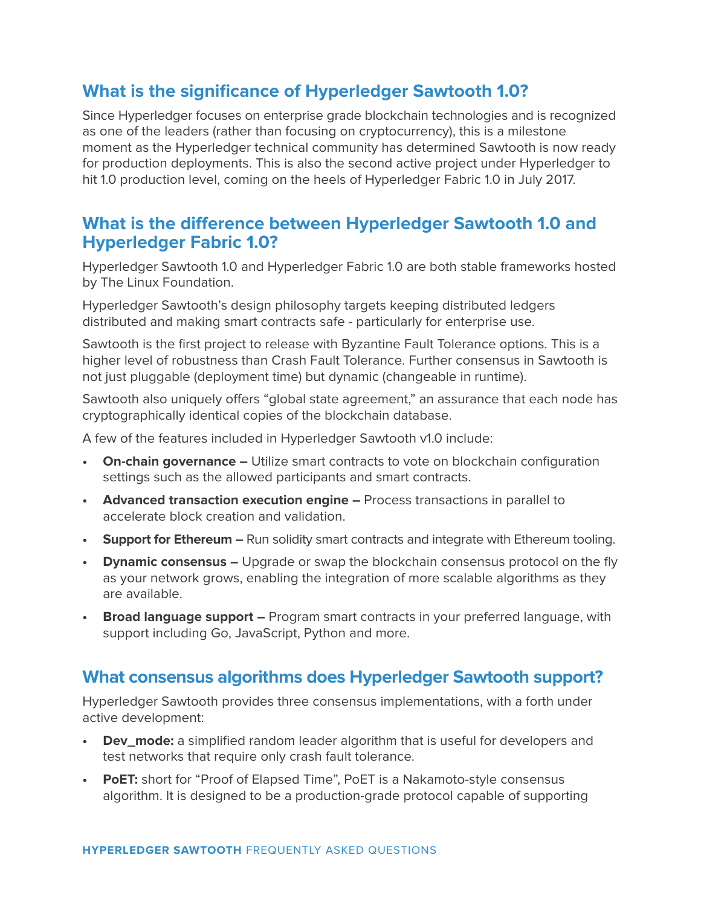# **What is the significance of Hyperledger Sawtooth 1.0?**

Since Hyperledger focuses on enterprise grade blockchain technologies and is recognized as one of the leaders (rather than focusing on cryptocurrency), this is a milestone moment as the Hyperledger technical community has determined Sawtooth is now ready for production deployments. This is also the second active project under Hyperledger to hit 1.0 production level, coming on the heels of Hyperledger Fabric 1.0 in July 2017.

#### **What is the difference between Hyperledger Sawtooth 1.0 and Hyperledger Fabric 1.0?**

Hyperledger Sawtooth 1.0 and Hyperledger Fabric 1.0 are both stable frameworks hosted by The Linux Foundation.

Hyperledger Sawtooth's design philosophy targets keeping distributed ledgers distributed and making smart contracts safe - particularly for enterprise use.

Sawtooth is the first project to release with Byzantine Fault Tolerance options. This is a higher level of robustness than Crash Fault Tolerance. Further consensus in Sawtooth is not just pluggable (deployment time) but dynamic (changeable in runtime).

Sawtooth also uniquely offers "global state agreement," an assurance that each node has cryptographically identical copies of the blockchain database.

A few of the features included in Hyperledger Sawtooth v1.0 include:

- **• On-chain governance –** Utilize smart contracts to vote on blockchain configuration settings such as the allowed participants and smart contracts.
- **• Advanced transaction execution engine –** Process transactions in parallel to accelerate block creation and validation.
- **• Support for Ethereum –** Run solidity smart contracts and integrate with Ethereum tooling.
- **• Dynamic consensus –** Upgrade or swap the blockchain consensus protocol on the fly as your network grows, enabling the integration of more scalable algorithms as they are available.
- **• Broad language support –** Program smart contracts in your preferred language, with support including Go, JavaScript, Python and more.

#### **What consensus algorithms does Hyperledger Sawtooth support?**

Hyperledger Sawtooth provides three consensus implementations, with a forth under active development:

- **• Dev\_mode:** a simplified random leader algorithm that is useful for developers and test networks that require only crash fault tolerance.
- **• PoET:** short for "Proof of Elapsed Time", PoET is a Nakamoto-style consensus algorithm. It is designed to be a production-grade protocol capable of supporting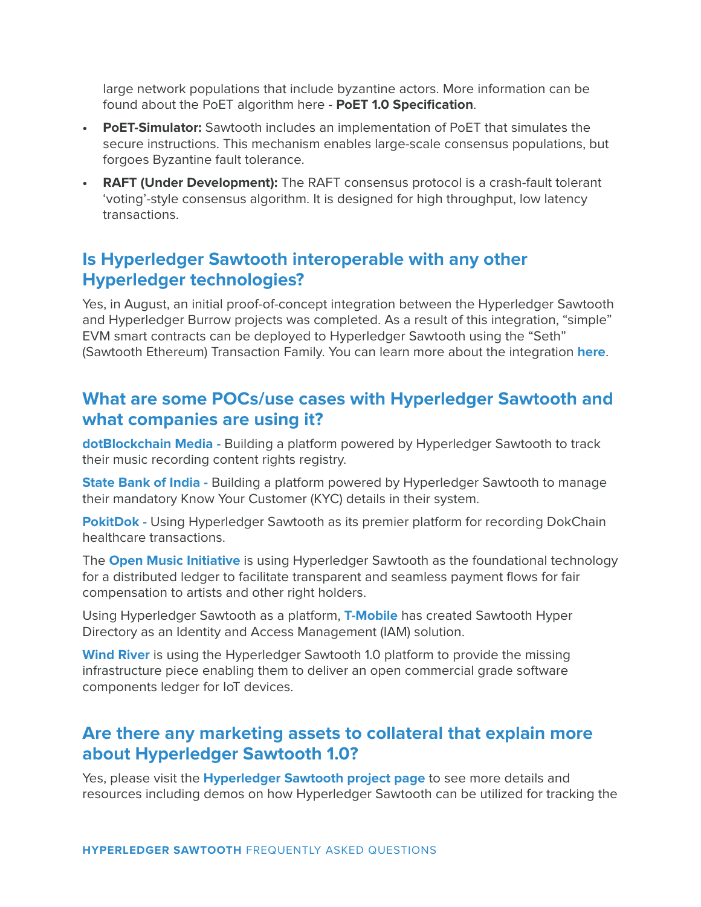large network populations that include byzantine actors. More information can be found about the PoET algorithm here - **[PoET 1.0 Specification](https://sawtooth.hyperledger.org/docs/core/releases/latest/architecture/poet.html)**.

- **• PoET-Simulator:** Sawtooth includes an implementation of PoET that simulates the secure instructions. This mechanism enables large-scale consensus populations, but forgoes Byzantine fault tolerance.
- **• RAFT (Under Development):** The RAFT consensus protocol is a crash-fault tolerant 'voting'-style consensus algorithm. It is designed for high throughput, low latency transactions.

# **Is Hyperledger Sawtooth interoperable with any other Hyperledger technologies?**

Yes, in August, an initial proof-of-concept integration between the Hyperledger Sawtooth and Hyperledger Burrow projects was completed. As a result of this integration, "simple" EVM smart contracts can be deployed to Hyperledger Sawtooth using the "Seth" (Sawtooth Ethereum) Transaction Family. You can learn more about the integration **[here](https://hyperledger.org/blog/2017/08/22/hello-world-meet-seth-sawtooth-ethereum)**.

# **What are some POCs/use cases with Hyperledger Sawtooth and what companies are using it?**

**[dotBlockchain Media -](https://www.cryptoninjas.net/2017/08/22/dotblockchain-media-selects-hyperledger-sawtooth-music-content-rights-registry/)** Building a platform powered by Hyperledger Sawtooth to track their music recording content rights registry.

**[State Bank of India -](https://cio.economictimes.indiatimes.com/news/corporate-news/state-bank-of-india-partners-with-bankchain-and-intel-to-deploy-blockchain-solutions/61396719)** Building a platform powered by Hyperledger Sawtooth to manage their mandatory Know Your Customer (KYC) details in their system.

**[PokitDok -](https://blog.pokitdok.com/pokitdok-intel-blockchain-technology/)** Using Hyperledger Sawtooth as its premier platform for recording DokChain healthcare transactions.

The **[Open Music Initiative](http://open-music.org/)** is using Hyperledger Sawtooth as the foundational technology for a distributed ledger to facilitate transparent and seamless payment flows for fair compensation to artists and other right holders.

Using Hyperledger Sawtooth as a platform, **[T-Mobile](https://github.com/tmobile/hyperdirectory)** has created Sawtooth Hyper Directory as an Identity and Access Management (IAM) solution.

**[Wind River](https://github.com/Wind-River/sparts/blob/master/README.md)** is using the Hyperledger Sawtooth 1.0 platform to provide the missing infrastructure piece enabling them to deliver an open commercial grade software components ledger for IoT devices.

## **Are there any marketing assets to collateral that explain more about Hyperledger Sawtooth 1.0?**

Yes, please visit the **[Hyperledger Sawtooth project page](https://www.hyperledger.org/projects/sawtooth)** to see more details and resources including demos on how Hyperledger Sawtooth can be utilized for tracking the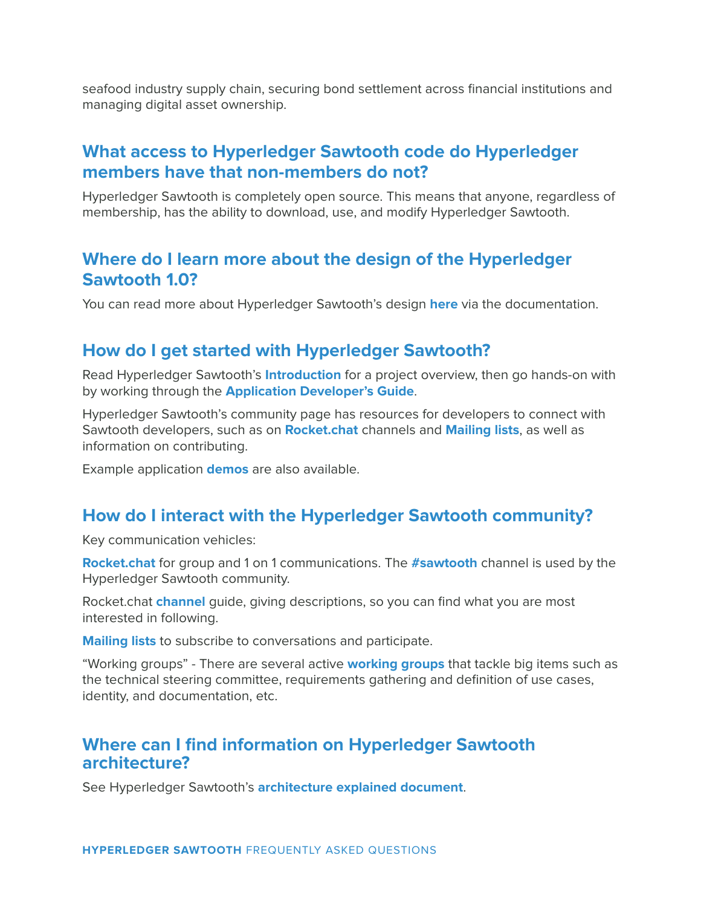seafood industry supply chain, securing bond settlement across financial institutions and managing digital asset ownership.

# **What access to Hyperledger Sawtooth code do Hyperledger members have that non-members do not?**

Hyperledger Sawtooth is completely open source. This means that anyone, regardless of membership, has the ability to download, use, and modify Hyperledger Sawtooth.

#### **Where do I learn more about the design of the Hyperledger Sawtooth 1.0?**

You can read more about Hyperledger Sawtooth's design **[here](https://sawtooth.hyperledger.org/docs/core/releases/latest/introduction.html)** via the documentation.

#### **How do I get started with Hyperledger Sawtooth?**

Read Hyperledger Sawtooth's **[Introduction](https://sawtooth.hyperledger.org/docs/core/releases/latest/introduction.html)** for a project overview, then go hands-on with by working through the **[Application Developer's Guide](https://sawtooth.hyperledger.org/docs/core/releases/latest/app_developers_guide.html)**.

Hyperledger Sawtooth's community page has resources for developers to connect with Sawtooth developers, such as on **[Rocket.chat](https://wiki.hyperledger.org/community/chat_channels)** channels and **[Mailing lists](https://lists.hyperledger.org/mailman/listinfo)**, as well as information on contributing.

Example application **[demos](https://sawtooth.hyperledger.org/examples/)** are also available.

## **How do I interact with the Hyperledger Sawtooth community?**

Key communication vehicles:

**[Rocket.chat](https://chat.hyperledger.org/home)** for group and 1 on 1 communications. The **[#sawtooth](https://chat.hyperledger.org/channel/sawtooth)** channel is used by the Hyperledger Sawtooth community.

Rocket.chat **[channel](https://wiki.hyperledger.org/community/chat_channels)** guide, giving descriptions, so you can find what you are most interested in following.

**[Mailing lists](https://lists.hyperledger.org/mailman/listinfo)** to subscribe to conversations and participate.

"Working groups" - There are several active **[working groups](https://wiki.hyperledger.org/community/calendar-public-meetings)** that tackle big items such as the technical steering committee, requirements gathering and definition of use cases, identity, and documentation, etc.

#### **Where can I find information on Hyperledger Sawtooth architecture?**

See Hyperledger Sawtooth's **[architecture explained document](https://sawtooth.hyperledger.org/docs/core/releases/latest/architecture.html)**.